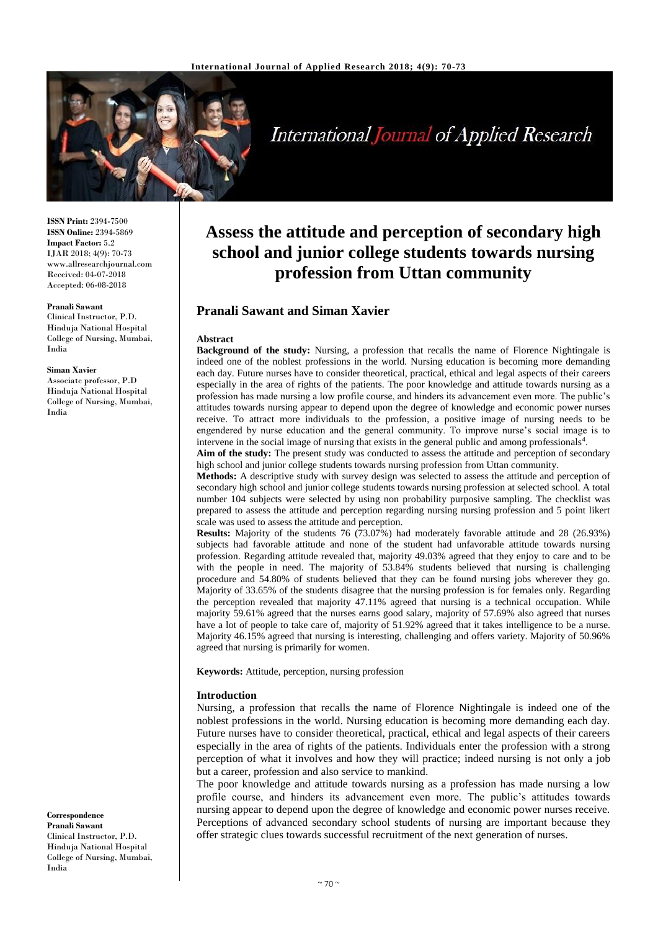

# International Journal of Applied Research

**ISSN Print:** 2394-7500 **ISSN Online:** 2394-5869 **Impact Factor:** 5.2 IJAR 2018; 4(9): 70-73 www.allresearchjournal.com Received: 04-07-2018 Accepted: 06-08-2018

#### **Pranali Sawant**

Clinical Instructor, P.D. Hinduja National Hospital College of Nursing, Mumbai, India

#### **Siman Xavier**

Associate professor, P.D Hinduja National Hospital College of Nursing, Mumbai, India

#### **Correspondence Pranali Sawant** Clinical Instructor, P.D. Hinduja National Hospital College of Nursing, Mumbai, India

# **Assess the attitude and perception of secondary high school and junior college students towards nursing profession from Uttan community**

# **Pranali Sawant and Siman Xavier**

#### **Abstract**

**Background of the study:** Nursing, a profession that recalls the name of Florence Nightingale is indeed one of the noblest professions in the world. Nursing education is becoming more demanding each day. Future nurses have to consider theoretical, practical, ethical and legal aspects of their careers especially in the area of rights of the patients. The poor knowledge and attitude towards nursing as a profession has made nursing a low profile course, and hinders its advancement even more. The public's attitudes towards nursing appear to depend upon the degree of knowledge and economic power nurses receive. To attract more individuals to the profession, a positive image of nursing needs to be engendered by nurse education and the general community. To improve nurse's social image is to intervene in the social image of nursing that exists in the general public and among professionals<sup>4</sup>.

Aim of the study: The present study was conducted to assess the attitude and perception of secondary high school and junior college students towards nursing profession from Uttan community.

**Methods:** A descriptive study with survey design was selected to assess the attitude and perception of secondary high school and junior college students towards nursing profession at selected school. A total number 104 subjects were selected by using non probability purposive sampling. The checklist was prepared to assess the attitude and perception regarding nursing nursing profession and 5 point likert scale was used to assess the attitude and perception.

**Results:** Majority of the students 76 (73.07%) had moderately favorable attitude and 28 (26.93%) subjects had favorable attitude and none of the student had unfavorable attitude towards nursing profession. Regarding attitude revealed that, majority 49.03% agreed that they enjoy to care and to be with the people in need. The majority of 53.84% students believed that nursing is challenging procedure and 54.80% of students believed that they can be found nursing jobs wherever they go. Majority of 33.65% of the students disagree that the nursing profession is for females only. Regarding the perception revealed that majority 47.11% agreed that nursing is a technical occupation. While majority 59.61% agreed that the nurses earns good salary, majority of 57.69% also agreed that nurses have a lot of people to take care of, majority of 51.92% agreed that it takes intelligence to be a nurse. Majority 46.15% agreed that nursing is interesting, challenging and offers variety. Majority of 50.96% agreed that nursing is primarily for women.

**Keywords:** Attitude, perception, nursing profession

#### **Introduction**

Nursing, a profession that recalls the name of Florence Nightingale is indeed one of the noblest professions in the world. Nursing education is becoming more demanding each day. Future nurses have to consider theoretical, practical, ethical and legal aspects of their careers especially in the area of rights of the patients. Individuals enter the profession with a strong perception of what it involves and how they will practice; indeed nursing is not only a job but a career, profession and also service to mankind.

The poor knowledge and attitude towards nursing as a profession has made nursing a low profile course, and hinders its advancement even more. The public's attitudes towards nursing appear to depend upon the degree of knowledge and economic power nurses receive. Perceptions of advanced secondary school students of nursing are important because they offer strategic clues towards successful recruitment of the next generation of nurses.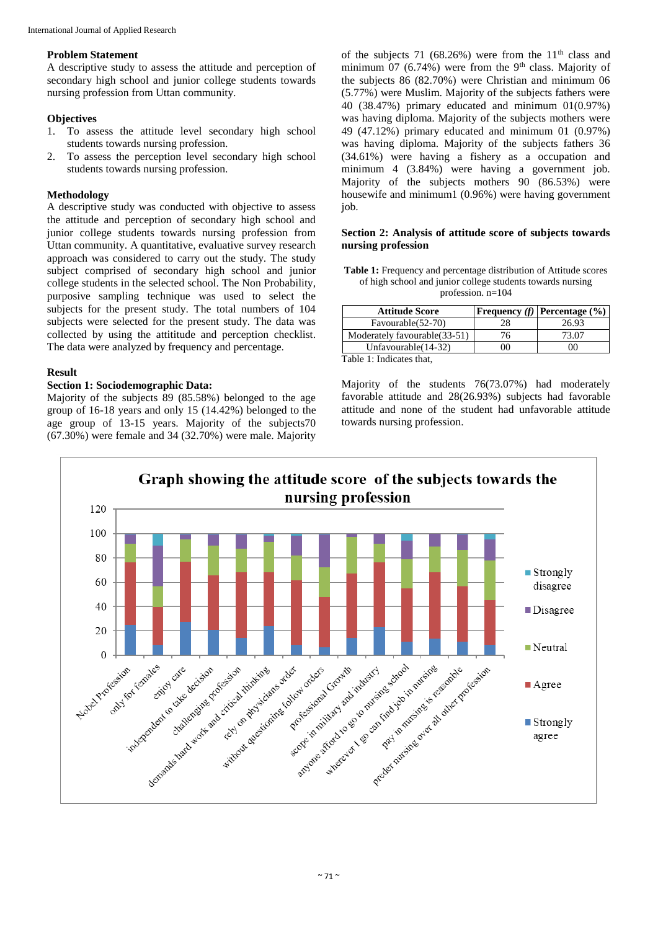#### **Problem Statement**

A descriptive study to assess the attitude and perception of secondary high school and junior college students towards nursing profession from Uttan community.

#### **Objectives**

- 1. To assess the attitude level secondary high school students towards nursing profession.
- 2. To assess the perception level secondary high school students towards nursing profession.

### **Methodology**

A descriptive study was conducted with objective to assess the attitude and perception of secondary high school and junior college students towards nursing profession from Uttan community. A quantitative, evaluative survey research approach was considered to carry out the study. The study subject comprised of secondary high school and junior college students in the selected school. The Non Probability, purposive sampling technique was used to select the subjects for the present study. The total numbers of 104 subjects were selected for the present study. The data was collected by using the attititude and perception checklist. The data were analyzed by frequency and percentage.

# **Result**

# **Section 1: Sociodemographic Data:**

Majority of the subjects 89 (85.58%) belonged to the age group of 16-18 years and only 15 (14.42%) belonged to the age group of 13-15 years. Majority of the subjects70 (67.30%) were female and 34 (32.70%) were male. Majority

of the subjects 71 (68.26%) were from the  $11<sup>th</sup>$  class and minimum  $07$  (6.74%) were from the 9<sup>th</sup> class. Majority of the subjects 86 (82.70%) were Christian and minimum 06 (5.77%) were Muslim. Majority of the subjects fathers were 40 (38.47%) primary educated and minimum 01(0.97%) was having diploma. Majority of the subjects mothers were 49 (47.12%) primary educated and minimum 01 (0.97%) was having diploma. Majority of the subjects fathers 36 (34.61%) were having a fishery as a occupation and minimum 4 (3.84%) were having a government job. Majority of the subjects mothers 90 (86.53%) were housewife and minimum1 (0.96%) were having government job.

#### **Section 2: Analysis of attitude score of subjects towards nursing profession**

| <b>Table 1:</b> Frequency and percentage distribution of Attitude scores |
|--------------------------------------------------------------------------|
| of high school and junior college students towards nursing               |
| profession. $n=104$                                                      |

|     | <b>Frequency</b> (f) <b>Percentage</b> $(\% )$ |
|-----|------------------------------------------------|
| 28  | 26.93                                          |
| '6  | 73.07                                          |
| )() | 00                                             |
|     |                                                |

Table 1: Indicates that,

Majority of the students 76(73.07%) had moderately favorable attitude and 28(26.93%) subjects had favorable attitude and none of the student had unfavorable attitude towards nursing profession.

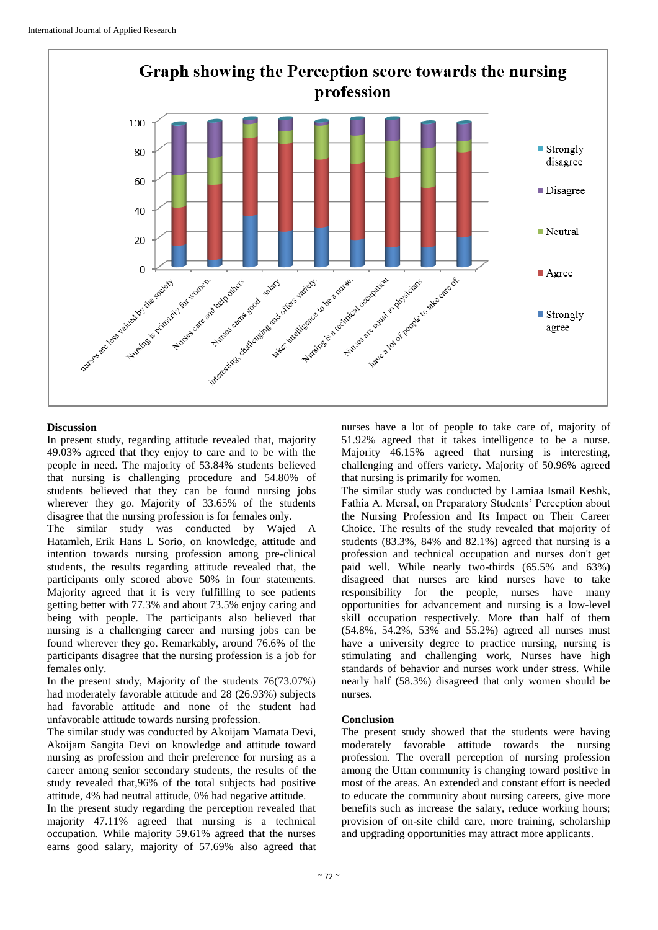

# **Discussion**

In present study, regarding attitude revealed that, majority 49.03% agreed that they enjoy to care and to be with the people in need. The majority of 53.84% students believed that nursing is challenging procedure and 54.80% of students believed that they can be found nursing jobs wherever they go. Majority of 33.65% of the students disagree that the nursing profession is for females only.

The similar study was conducted by Wajed A Hatamleh, Erik Hans L Sorio, on knowledge, attitude and intention towards nursing profession among pre-clinical students, the results regarding attitude revealed that, the participants only scored above 50% in four statements. Majority agreed that it is very fulfilling to see patients getting better with 77.3% and about 73.5% enjoy caring and being with people. The participants also believed that nursing is a challenging career and nursing jobs can be found wherever they go. Remarkably, around 76.6% of the participants disagree that the nursing profession is a job for females only.

In the present study, Majority of the students 76(73.07%) had moderately favorable attitude and 28 (26.93%) subjects had favorable attitude and none of the student had unfavorable attitude towards nursing profession.

The similar study was conducted by Akoijam Mamata Devi, Akoijam Sangita Devi on knowledge and attitude toward nursing as profession and their preference for nursing as a career among senior secondary students, the results of the study revealed that,96% of the total subjects had positive attitude, 4% had neutral attitude, 0% had negative attitude.

In the present study regarding the perception revealed that majority 47.11% agreed that nursing is a technical occupation. While majority 59.61% agreed that the nurses earns good salary, majority of 57.69% also agreed that

nurses have a lot of people to take care of, majority of 51.92% agreed that it takes intelligence to be a nurse. Majority 46.15% agreed that nursing is interesting, challenging and offers variety. Majority of 50.96% agreed that nursing is primarily for women.

The similar study was conducted by Lamiaa Ismail Keshk, Fathia A. Mersal, on Preparatory Students' Perception about the Nursing Profession and Its Impact on Their Career Choice. The results of the study revealed that majority of students (83.3%, 84% and 82.1%) agreed that nursing is a profession and technical occupation and nurses don't get paid well. While nearly two-thirds (65.5% and 63%) disagreed that nurses are kind nurses have to take responsibility for the people, nurses have many opportunities for advancement and nursing is a low-level skill occupation respectively. More than half of them (54.8%, 54.2%, 53% and 55.2%) agreed all nurses must have a university degree to practice nursing, nursing is stimulating and challenging work, Nurses have high standards of behavior and nurses work under stress. While nearly half (58.3%) disagreed that only women should be nurses.

# **Conclusion**

The present study showed that the students were having moderately favorable attitude towards the nursing profession. The overall perception of nursing profession among the Uttan community is changing toward positive in most of the areas. An extended and constant effort is needed to educate the community about nursing careers, give more benefits such as increase the salary, reduce working hours; provision of on-site child care, more training, scholarship and upgrading opportunities may attract more applicants.